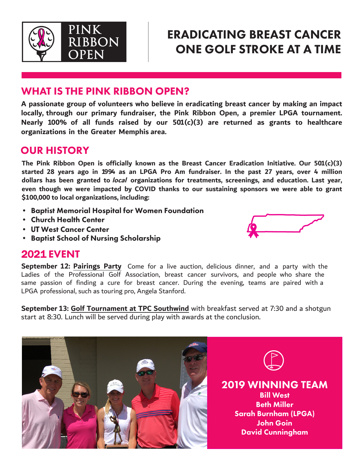

# ERADICATING BREAST CANCER ONE GOLF STROKE AT A TIME

### WHAT IS THE PINK RIBBON OPEN?

**A passionate group of volunteers who believe in eradicating breast cancer by making an impact locally, through our primary fundraiser, the Pink Ribbon Open, a premier LPGA tournament. Nearly 100% of all funds raised by our 501(c)(3) are returned as grants to healthcare organizations in the Greater Memphis area.**

### OUR HISTORY

**The Pink Ribbon Open is officially known as the Breast Cancer Eradication Initiative. Our 501(c)(3) started 28 years ago in 1994 as an LPGA Pro Am fundraiser. In the past 27 years, over 4 million dollars has been granted to local organizations for treatments, screenings, and education. Last year, even though we were impacted by COVID thanks to our sustaining sponsors we were able to grant \$100,000 to local organizations, including:**

- Baptist Memorial Hospital for Women Foundation
- Church Health Center
- UT West Cancer Center
- Baptist School of Nursing Scholarship

### 2021 EVENT

**September 12: Pairings Party** Come for a live auction, delicious dinner, and a party with the Ladies of the Professional Golf Association, breast cancer survivors, and people who share the same passion of finding a cure for breast cancer. During the evening, teams are paired with a LPGA professional, such as touring pro, Angela Stanford.

**September 13: Golf Tournament at TPC Southwind** with breakfast served at 7:30 and a shotgun start at 8:30. Lunch will be served during play with awards at the conclusion.



2019 WINNING TEAM Bill West Beth Miller Sarah Burnham (LPGA) John Goin David Cunningham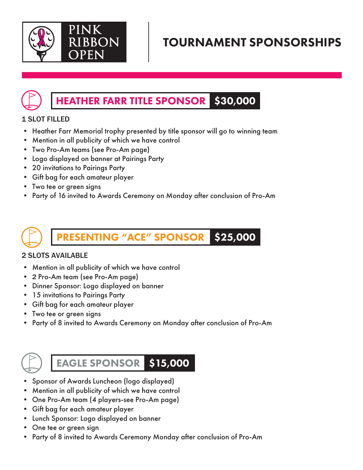

# TOURNAMENT SPONSORSHIPS

#### HEATHER FARR TITLE SPONSOR \$30,000

### 1 SLOT FILLED

- Heather Farr Memorial trophy presented by title sponsor will go to winning team
- Mention in all publicity of which we have control
- Two Pro-Am teams (see Pro-Am page)
- Logo displayed on banner at Pairings Party
- 20 invitations to Pairings Party
- Gift bag for each amateur player
- Two tee or green signs
- Party of 16 invited to Awards Ceremony on Monday after conclusion of Pro-Am

**ESENTING "ACE" SPONSOR** \$25,000

### 2 SLOTS AVAILABLE

- Mention in all publicity of which we have control
- 2 Pro-Am team (see Pro-Am page)
- Dinner Sponsor: Logo displayed on banner
- 15 invitations to Pairings Party
- Gift bag for each amateur player
- Two tee or green signs
- Party of 8 invited to Awards Ceremony on Monday after conclusion of Pro-Am



EAGLE SPONSOR \$15,000

- Sponsor of Awards Luncheon (logo displayed)
- Mention in all publicity of which we have control
- One Pro-Am team (4 players-see Pro-Am page)
- Gift bag for each amateur player
- Lunch Sponsor: Logo displayed on banner
- One tee or green sign
- Party of 8 invited to Awards Ceremony Monday after conclusion of Pro-Am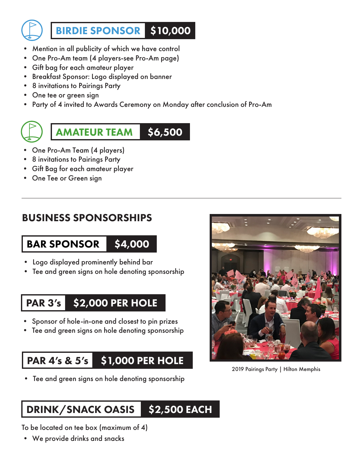

BIRDIE SPONSOR \$10,000

- Mention in all publicity of which we have control
- One Pro-Am team (4 players-see Pro-Am page)
- Gift bag for each amateur player
- Breakfast Sponsor: Logo displayed on banner
- 8 invitations to Pairings Party
- One tee or green sign
- Party of 4 invited to Awards Ceremony on Monday after conclusion of Pro-Am

AMATEUR TEAM \$6,500

- One Pro-Am Team (4 players)
- 8 invitations to Pairings Party
- Gift Bag for each amateur player
- One Tee or Green sign

### BUSINESS SPONSORSHIPS

## BAR SPONSOR

- \$4,000
- Logo displayed prominently behind bar
- Tee and green signs on hole denoting sponsorship

#### PAR 3's \$2,000 PER HOLE

- Sponsor of hole-in-one and closest to pin prizes
- Tee and green signs on hole denoting sponsorship

#### PAR 4's & 5's \$1,000 PER HOLE

• Tee and green signs on hole denoting sponsorship

2019 Pairings Party | Hilton Memphis

#### DRINK/SNACK OASIS \$2,500 EACH

To be located on tee box (maximum of 4)

• We provide drinks and snacks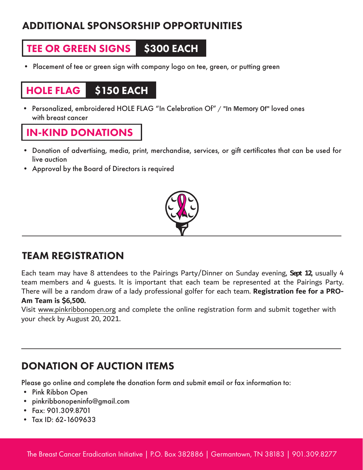## ADDITIONAL SPONSORSHIP OPPORTUNITIES

#### TEE OR GREEN SIGNS **\$300 EACH**

• Placement of tee or green sign with company logo on tee, green, or putting green

### HOLE FLAG \$150 EACH

• Personalized, embroidered HOLE FLAG "In Celebration Of" / "In Memory Of" loved ones with breast cancer

### IN-KIND DONATIONS

- Donation of advertising, media, print, merchandise, services, or gift certificates that can be used for live auction
- Approval by the Board of Directors is required



## TEAM REGISTRATION

Each team may have 8 attendees to the Pairings Party/Dinner on Sunday evening, **Sept 12,** usually 4 team members and 4 guests. It is important that each team be represented at the Pairings Party. There will be a random draw of a lady professional golfer for each team. **Registration fee for a PRO-Am Team is \$6,500.**

Visit www.pinkribbonopen.org and complete the online registration form and submit together with your check by August 20, 2021.

## DONATION OF AUCTION ITEMS

Please go online and complete the donation form and submit email or fax information to:

- Pink Ribbon Open
- pinkribbonopeninfo@gmail.com
- Fax: 901.309.8701
- Tax ID: 62-1609633